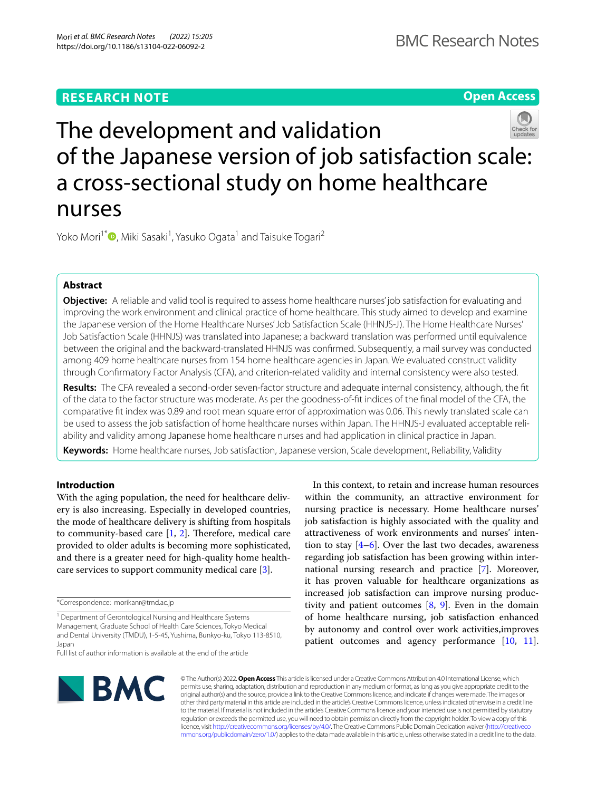# **RESEARCH NOTE**

**Open Access**

# The development and validation of the Japanese version of job satisfaction scale: a cross-sectional study on home healthcare nurses

Yoko Mori<sup>1\*</sup> •[,](http://orcid.org/0000-0002-5273-4669) Miki Sasaki<sup>1</sup>, Yasuko Ogata<sup>1</sup> and Taisuke Togari<sup>2</sup>

# **Abstract**

**Objective:** A reliable and valid tool is required to assess home healthcare nurses' job satisfaction for evaluating and improving the work environment and clinical practice of home healthcare. This study aimed to develop and examine the Japanese version of the Home Healthcare Nurses' Job Satisfaction Scale (HHNJS-J). The Home Healthcare Nurses' Job Satisfaction Scale (HHNJS) was translated into Japanese; a backward translation was performed until equivalence between the original and the backward-translated HHNJS was confrmed. Subsequently, a mail survey was conducted among 409 home healthcare nurses from 154 home healthcare agencies in Japan. We evaluated construct validity through Confrmatory Factor Analysis (CFA), and criterion-related validity and internal consistency were also tested.

**Results:** The CFA revealed a second-order seven-factor structure and adequate internal consistency, although, the ft of the data to the factor structure was moderate. As per the goodness-of-ft indices of the fnal model of the CFA, the comparative ft index was 0.89 and root mean square error of approximation was 0.06. This newly translated scale can be used to assess the job satisfaction of home healthcare nurses within Japan. The HHNJS-J evaluated acceptable reliability and validity among Japanese home healthcare nurses and had application in clinical practice in Japan.

**Keywords:** Home healthcare nurses, Job satisfaction, Japanese version, Scale development, Reliability, Validity

# **Introduction**

With the aging population, the need for healthcare delivery is also increasing. Especially in developed countries, the mode of healthcare delivery is shifting from hospitals to community-based care  $[1, 2]$  $[1, 2]$  $[1, 2]$  $[1, 2]$ . Therefore, medical care provided to older adults is becoming more sophisticated, and there is a greater need for high-quality home healthcare services to support community medical care [\[3](#page-6-2)].

\*Correspondence: morikanr@tmd.ac.jp

<sup>1</sup> Department of Gerontological Nursing and Healthcare Systems Management, Graduate School of Health Care Sciences, Tokyo Medical and Dental University (TMDU), 1-5-45, Yushima, Bunkyo-ku, Tokyo 113-8510, Japan Full list of author information is available at the end of the article

In this context, to retain and increase human resources within the community, an attractive environment for nursing practice is necessary. Home healthcare nurses' job satisfaction is highly associated with the quality and attractiveness of work environments and nurses' intention to stay  $[4-6]$  $[4-6]$ . Over the last two decades, awareness regarding job satisfaction has been growing within international nursing research and practice [\[7\]](#page-6-5). Moreover, it has proven valuable for healthcare organizations as increased job satisfaction can improve nursing productivity and patient outcomes  $[8, 9]$  $[8, 9]$  $[8, 9]$  $[8, 9]$ . Even in the domain of home healthcare nursing, job satisfaction enhanced by autonomy and control over work activities,improves patient outcomes and agency performance [[10,](#page-6-8) [11](#page-6-9)].



© The Author(s) 2022. **Open Access** This article is licensed under a Creative Commons Attribution 4.0 International License, which permits use, sharing, adaptation, distribution and reproduction in any medium or format, as long as you give appropriate credit to the original author(s) and the source, provide a link to the Creative Commons licence, and indicate if changes were made. The images or other third party material in this article are included in the article's Creative Commons licence, unless indicated otherwise in a credit line to the material. If material is not included in the article's Creative Commons licence and your intended use is not permitted by statutory regulation or exceeds the permitted use, you will need to obtain permission directly from the copyright holder. To view a copy of this licence, visit [http://creativecommons.org/licenses/by/4.0/.](http://creativecommons.org/licenses/by/4.0/) The Creative Commons Public Domain Dedication waiver ([http://creativeco](http://creativecommons.org/publicdomain/zero/1.0/) [mmons.org/publicdomain/zero/1.0/](http://creativecommons.org/publicdomain/zero/1.0/)) applies to the data made available in this article, unless otherwise stated in a credit line to the data.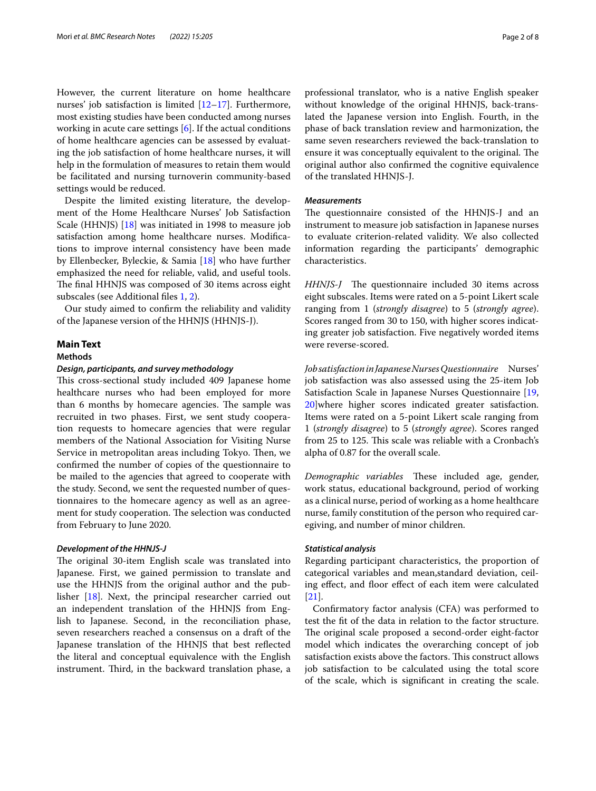However, the current literature on home healthcare nurses' job satisfaction is limited [\[12](#page-6-10)–[17\]](#page-6-11). Furthermore, most existing studies have been conducted among nurses working in acute care settings [[6\]](#page-6-4). If the actual conditions of home healthcare agencies can be assessed by evaluating the job satisfaction of home healthcare nurses, it will help in the formulation of measures to retain them would be facilitated and nursing turnoverin community-based settings would be reduced.

Despite the limited existing literature, the development of the Home Healthcare Nurses' Job Satisfaction Scale (HHNJS) [\[18](#page-6-12)] was initiated in 1998 to measure job satisfaction among home healthcare nurses. Modifcations to improve internal consistency have been made by Ellenbecker, Byleckie, & Samia [[18\]](#page-6-12) who have further emphasized the need for reliable, valid, and useful tools. The final HHNJS was composed of 30 items across eight subscales (see Additional fles [1,](#page-5-0) [2](#page-5-1)).

Our study aimed to confrm the reliability and validity of the Japanese version of the HHNJS (HHNJS-J).

# **Main Text**

# **Methods**

# *Design, participants, and survey methodology*

This cross-sectional study included 409 Japanese home healthcare nurses who had been employed for more than 6 months by homecare agencies. The sample was recruited in two phases. First, we sent study cooperation requests to homecare agencies that were regular members of the National Association for Visiting Nurse Service in metropolitan areas including Tokyo. Then, we confrmed the number of copies of the questionnaire to be mailed to the agencies that agreed to cooperate with the study. Second, we sent the requested number of questionnaires to the homecare agency as well as an agreement for study cooperation. The selection was conducted from February to June 2020.

#### *Development of the HHNJS‑J*

The original 30-item English scale was translated into Japanese. First, we gained permission to translate and use the HHNJS from the original author and the publisher [[18](#page-6-12)]. Next, the principal researcher carried out an independent translation of the HHNJS from English to Japanese. Second, in the reconciliation phase, seven researchers reached a consensus on a draft of the Japanese translation of the HHNJS that best refected the literal and conceptual equivalence with the English instrument. Third, in the backward translation phase, a professional translator, who is a native English speaker without knowledge of the original HHNJS, back-translated the Japanese version into English. Fourth, in the phase of back translation review and harmonization, the same seven researchers reviewed the back-translation to ensure it was conceptually equivalent to the original. The original author also confrmed the cognitive equivalence of the translated HHNJS-J.

# *Measurements*

The questionnaire consisted of the HHNJS-J and an instrument to measure job satisfaction in Japanese nurses to evaluate criterion-related validity. We also collected information regarding the participants' demographic characteristics.

*HHNJS-J* The questionnaire included 30 items across eight subscales. Items were rated on a 5-point Likert scale ranging from 1 (*strongly disagree*) to 5 (*strongly agree*). Scores ranged from 30 to 150, with higher scores indicating greater job satisfaction. Five negatively worded items were reverse-scored.

*Job satisfaction in Japanese Nurses Questionnaire* Nurses' job satisfaction was also assessed using the 25-item Job Satisfaction Scale in Japanese Nurses Questionnaire [[19](#page-6-13), [20\]](#page-6-14)where higher scores indicated greater satisfaction. Items were rated on a 5-point Likert scale ranging from 1 (*strongly disagree*) to 5 (*strongly agree*). Scores ranged from 25 to 125. This scale was reliable with a Cronbach's alpha of 0.87 for the overall scale.

*Demographic variables* These included age, gender, work status, educational background, period of working as a clinical nurse, period of working as a home healthcare nurse, family constitution of the person who required caregiving, and number of minor children.

## *Statistical analysis*

Regarding participant characteristics, the proportion of categorical variables and mean,standard deviation, ceiling effect, and floor effect of each item were calculated [[21\]](#page-6-15).

Confrmatory factor analysis (CFA) was performed to test the ft of the data in relation to the factor structure. The original scale proposed a second-order eight-factor model which indicates the overarching concept of job satisfaction exists above the factors. This construct allows job satisfaction to be calculated using the total score of the scale, which is signifcant in creating the scale.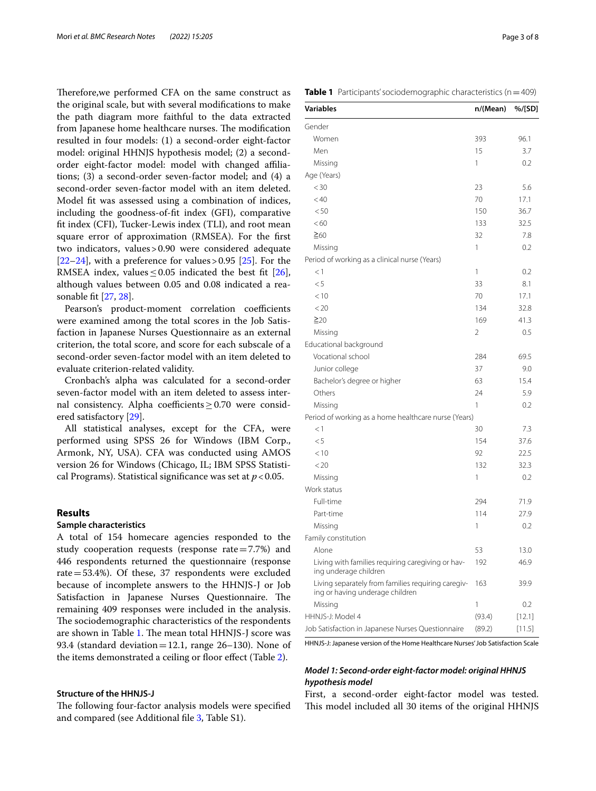Therefore, we performed CFA on the same construct as the original scale, but with several modifcations to make the path diagram more faithful to the data extracted from Japanese home healthcare nurses. The modification resulted in four models: (1) a second-order eight-factor model: original HHNJS hypothesis model; (2) a secondorder eight-factor model: model with changed afliations; (3) a second-order seven-factor model; and (4) a second-order seven-factor model with an item deleted. Model ft was assessed using a combination of indices, including the goodness-of-ft index (GFI), comparative ft index (CFI), Tucker-Lewis index (TLI), and root mean square error of approximation (RMSEA). For the frst two indicators, values>0.90 were considered adequate [[22–](#page-6-16)[24](#page-6-17)], with a preference for values > 0.95 [[25\]](#page-6-18). For the RMSEA index, values  $\leq$  0.05 indicated the best fit [\[26](#page-6-19)], although values between 0.05 and 0.08 indicated a reasonable ft [\[27](#page-6-20), [28](#page-6-21)].

Pearson's product-moment correlation coefficients were examined among the total scores in the Job Satisfaction in Japanese Nurses Questionnaire as an external criterion, the total score, and score for each subscale of a second-order seven-factor model with an item deleted to evaluate criterion-related validity.

Cronbach's alpha was calculated for a second-order seven-factor model with an item deleted to assess internal consistency. Alpha coefficients  $\geq$  0.70 were considered satisfactory [\[29](#page-6-22)].

All statistical analyses, except for the CFA, were performed using SPSS 26 for Windows (IBM Corp., Armonk, NY, USA). CFA was conducted using AMOS version 26 for Windows (Chicago, IL; IBM SPSS Statistical Programs). Statistical signifcance was set at *p*<0.05.

# **Results**

# **Sample characteristics**

A total of 154 homecare agencies responded to the study cooperation requests (response rate $=7.7%$ ) and 446 respondents returned the questionnaire (response rate=53.4%). Of these, 37 respondents were excluded because of incomplete answers to the HHNJS-J or Job Satisfaction in Japanese Nurses Questionnaire. The remaining 409 responses were included in the analysis. The sociodemographic characteristics of the respondents are shown in Table [1](#page-2-0). The mean total HHNJS-J score was 93.4 (standard deviation = 12.1, range  $26-130$ ). None of the items demonstrated a ceiling or floor effect (Table [2](#page-3-0)).

# **Structure of the HHNJS‑J**

The following four-factor analysis models were specified and compared (see Additional fle [3](#page-5-2), Table S1).

<span id="page-2-0"></span>**Table 1** Participants' sociodemographic characteristics (n=409)

| Variables                                                                             | n/(Mean) | %/[SD] |
|---------------------------------------------------------------------------------------|----------|--------|
| Gender                                                                                |          |        |
| Women                                                                                 | 393      | 96.1   |
| Men                                                                                   | 15       | 3.7    |
| Missing                                                                               | 1        | 0.2    |
| Age (Years)                                                                           |          |        |
| $<$ 30                                                                                | 23       | 5.6    |
| < 40                                                                                  | 70       | 17.1   |
| < 50                                                                                  | 150      | 36.7   |
| <60                                                                                   | 133      | 32.5   |
| $\geq 60$                                                                             | 32       | 7.8    |
| Missing                                                                               | 1        | 0.2    |
| Period of working as a clinical nurse (Years)                                         |          |        |
| < 1                                                                                   | 1        | 0.2    |
| < 5                                                                                   | 33       | 8.1    |
| < 10                                                                                  | 70       | 17.1   |
| < 20                                                                                  | 134      | 32.8   |
| $\geq 20$                                                                             | 169      | 41.3   |
| Missing                                                                               | 2        | 0.5    |
| Educational background                                                                |          |        |
| Vocational school                                                                     | 284      | 69.5   |
| Junior college                                                                        | 37       | 9.0    |
| Bachelor's degree or higher                                                           | 63       | 15.4   |
| Others                                                                                | 24       | 5.9    |
| Missing                                                                               | 1        | 0.2    |
| Period of working as a home healthcare nurse (Years)                                  |          |        |
| <1                                                                                    | 30       | 7.3    |
| < 5                                                                                   | 154      | 37.6   |
| < 10                                                                                  | 92       | 22.5   |
| < 20                                                                                  | 132      | 32.3   |
| Missing                                                                               | 1        | 0.2    |
| Work status                                                                           |          |        |
| Full-time                                                                             | 294      | 71.9   |
| Part-time                                                                             | 114      | 27.9   |
| Missing                                                                               | 1        | 0.2    |
| Family constitution                                                                   |          |        |
| Alone                                                                                 | 53       | 13.0   |
| Living with families requiring caregiving or hav-<br>ing underage children            | 192      | 46.9   |
| Living separately from families requiring caregiv-<br>ing or having underage children | 163      | 39.9   |
| Missing                                                                               | 1        | 0.2    |
| HHNJS-J: Model 4                                                                      | (93.4)   | [12.1] |
| Job Satisfaction in Japanese Nurses Questionnaire                                     | (89.2)   | [11.5] |

HHNJS-J: Japanese version of the Home Healthcare Nurses' Job Satisfaction Scale

# *Model 1: Second‑order eight‑factor model: original HHNJS hypothesis model*

First, a second-order eight-factor model was tested. This model included all 30 items of the original HHNJS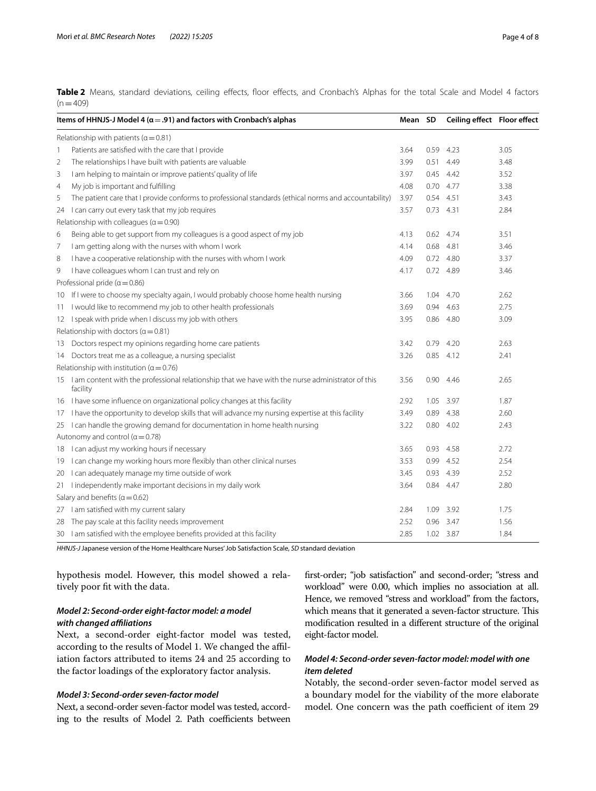<span id="page-3-0"></span>Table 2 Means, standard deviations, ceiling effects, floor effects, and Cronbach's Alphas for the total Scale and Model 4 factors  $(n=409)$ 

|                | Items of HHNJS-J Model 4 ( $\alpha$ = .91) and factors with Cronbach's alphas                                    | Mean SD |             | Ceiling effect Floor effect |      |
|----------------|------------------------------------------------------------------------------------------------------------------|---------|-------------|-----------------------------|------|
|                | Relationship with patients ( $\alpha$ = 0.81)                                                                    |         |             |                             |      |
| 1              | Patients are satisfied with the care that I provide                                                              | 3.64    | 0.59        | 4.23                        | 3.05 |
| $\overline{2}$ | The relationships I have built with patients are valuable                                                        | 3.99    | 0.51        | 4.49                        | 3.48 |
| 3              | I am helping to maintain or improve patients' quality of life                                                    | 3.97    |             | $0.45$ 4.42                 | 3.52 |
| $\overline{4}$ | My job is important and fulfilling                                                                               | 4.08    |             | $0.70$ 4.77                 | 3.38 |
| 5              | The patient care that I provide conforms to professional standards (ethical norms and accountability)            | 3.97    | 0.54        | 4.51                        | 3.43 |
| 24             | I can carry out every task that my job requires                                                                  | 3.57    | $0.73$ 4.31 |                             | 2.84 |
|                | Relationship with colleagues ( $\alpha$ = 0.90)                                                                  |         |             |                             |      |
| 6              | Being able to get support from my colleagues is a good aspect of my job                                          | 4.13    |             | 0.62 4.74                   | 3.51 |
| 7              | I am getting along with the nurses with whom I work                                                              | 4.14    |             | 0.68 4.81                   | 3.46 |
| 8              | I have a cooperative relationship with the nurses with whom I work                                               | 4.09    |             | $0.72$ 4.80                 | 3.37 |
| 9              | I have colleagues whom I can trust and rely on                                                                   | 4.17    |             | 0.72 4.89                   | 3.46 |
|                | Professional pride ( $\alpha$ = 0.86)                                                                            |         |             |                             |      |
|                | 10 If I were to choose my specialty again, I would probably choose home health nursing                           | 3.66    | 1.04        | 4.70                        | 2.62 |
|                | 11 I would like to recommend my job to other health professionals                                                | 3.69    | 0.94        | 4.63                        | 2.75 |
|                | 12 I speak with pride when I discuss my job with others                                                          | 3.95    |             | 0.86 4.80                   | 3.09 |
|                | Relationship with doctors ( $\alpha$ = 0.81)                                                                     |         |             |                             |      |
|                | 13 Doctors respect my opinions regarding home care patients                                                      | 3.42    |             | $0.79$ 4.20                 | 2.63 |
|                | 14 Doctors treat me as a colleague, a nursing specialist                                                         | 3.26    |             | $0.85$ 4.12                 | 2.41 |
|                | Relationship with institution ( $\alpha$ = 0.76)                                                                 |         |             |                             |      |
|                | 15 I am content with the professional relationship that we have with the nurse administrator of this<br>facility | 3.56    | 0.90        | 4.46                        | 2.65 |
|                | 16 I have some influence on organizational policy changes at this facility                                       | 2.92    | 1.05        | 3.97                        | 1.87 |
|                | 17 I have the opportunity to develop skills that will advance my nursing expertise at this facility              | 3.49    |             | 0.89 4.38                   | 2.60 |
|                | 25 I can handle the growing demand for documentation in home health nursing                                      | 3.22    | 0.80        | 4.02                        | 2.43 |
|                | Autonomy and control ( $\alpha$ = 0.78)                                                                          |         |             |                             |      |
|                | 18 I can adjust my working hours if necessary                                                                    | 3.65    |             | 0.93 4.58                   | 2.72 |
|                | 19 I can change my working hours more flexibly than other clinical nurses                                        | 3.53    |             | 0.99 4.52                   | 2.54 |
|                | 20 I can adequately manage my time outside of work                                                               | 3.45    | 0.93        | 4.39                        | 2.52 |
|                | 21 I independently make important decisions in my daily work                                                     | 3.64    | 0.84 4.47   |                             | 2.80 |
|                | Salary and benefits $(a = 0.62)$                                                                                 |         |             |                             |      |
|                | 27 I am satisfied with my current salary                                                                         | 2.84    |             | 1.09 3.92                   | 1.75 |
|                | 28 The pay scale at this facility needs improvement                                                              | 2.52    |             | 0.96 3.47                   | 1.56 |
|                | 30 I am satisfied with the employee benefits provided at this facility                                           | 2.85    |             | 1.02 3.87                   | 1.84 |

*HHNJS-J* Japanese version of the Home Healthcare Nurses' Job Satisfaction Scale, *SD* standard deviation

hypothesis model. However, this model showed a relatively poor fit with the data.

# *Model 2: Second‑order eight‑factor model: a model with changed afliations*

Next, a second-order eight-factor model was tested, according to the results of Model 1. We changed the affiliation factors attributed to items 24 and 25 according to the factor loadings of the exploratory factor analysis.

# *Model 3: Second‑order seven‑factor model*

Next, a second-order seven-factor model was tested, according to the results of Model 2. Path coefficients between frst-order; "job satisfaction" and second-order; "stress and workload" were 0.00, which implies no association at all. Hence, we removed "stress and workload" from the factors, which means that it generated a seven-factor structure. This modifcation resulted in a diferent structure of the original eight-factor model.

# *Model 4: Second‑order seven‑factor model: model with one item deleted*

Notably, the second-order seven-factor model served as a boundary model for the viability of the more elaborate model. One concern was the path coefficient of item 29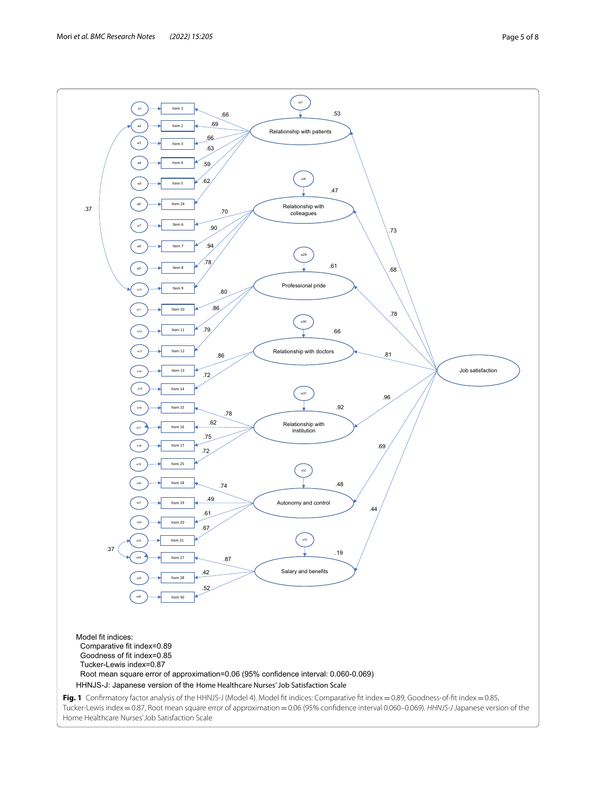<span id="page-4-0"></span>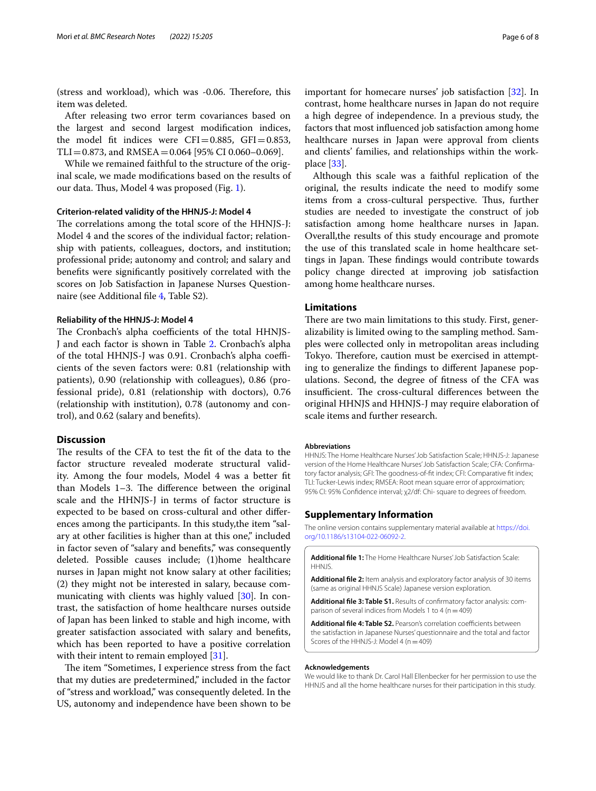(stress and workload), which was -0.06. Therefore, this item was deleted.

After releasing two error term covariances based on the largest and second largest modifcation indices, the model fit indices were  $CFI = 0.885$ ,  $GFI = 0.853$ ,  $TLI = 0.873$ , and RMSEA = 0.064 [95% CI 0.060-0.069].

While we remained faithful to the structure of the original scale, we made modifcations based on the results of our data. Thus, Model 4 was proposed (Fig. [1](#page-4-0)).

# **Criterion‑related validity of the HHNJS‑J: Model 4**

The correlations among the total score of the HHNJS-J: Model 4 and the scores of the individual factor; relationship with patients, colleagues, doctors, and institution; professional pride; autonomy and control; and salary and benefts were signifcantly positively correlated with the scores on Job Satisfaction in Japanese Nurses Questionnaire (see Additional fle [4,](#page-5-3) Table S2).

#### **Reliability of the HHNJS‑J: Model 4**

The Cronbach's alpha coefficients of the total HHNJS-J and each factor is shown in Table [2.](#page-3-0) Cronbach's alpha of the total HHNJS-J was 0.91. Cronbach's alpha coefficients of the seven factors were: 0.81 (relationship with patients), 0.90 (relationship with colleagues), 0.86 (professional pride), 0.81 (relationship with doctors), 0.76 (relationship with institution), 0.78 (autonomy and control), and 0.62 (salary and benefts).

#### **Discussion**

The results of the CFA to test the fit of the data to the factor structure revealed moderate structural validity. Among the four models, Model 4 was a better ft than Models  $1-3$ . The difference between the original scale and the HHNJS-J in terms of factor structure is expected to be based on cross-cultural and other diferences among the participants. In this study,the item "salary at other facilities is higher than at this one," included in factor seven of "salary and benefts," was consequently deleted. Possible causes include; (1)home healthcare nurses in Japan might not know salary at other facilities; (2) they might not be interested in salary, because communicating with clients was highly valued [[30](#page-6-23)]. In contrast, the satisfaction of home healthcare nurses outside of Japan has been linked to stable and high income, with greater satisfaction associated with salary and benefts, which has been reported to have a positive correlation with their intent to remain employed [[31\]](#page-6-24).

The item "Sometimes, I experience stress from the fact that my duties are predetermined," included in the factor of "stress and workload," was consequently deleted. In the US, autonomy and independence have been shown to be

important for homecare nurses' job satisfaction [\[32\]](#page-6-25). In contrast, home healthcare nurses in Japan do not require a high degree of independence. In a previous study, the factors that most infuenced job satisfaction among home healthcare nurses in Japan were approval from clients and clients' families, and relationships within the workplace [\[33](#page-7-0)].

Although this scale was a faithful replication of the original, the results indicate the need to modify some items from a cross-cultural perspective. Thus, further studies are needed to investigate the construct of job satisfaction among home healthcare nurses in Japan. Overall,the results of this study encourage and promote the use of this translated scale in home healthcare settings in Japan. These findings would contribute towards policy change directed at improving job satisfaction among home healthcare nurses.

# **Limitations**

There are two main limitations to this study. First, generalizability is limited owing to the sampling method. Samples were collected only in metropolitan areas including Tokyo. Therefore, caution must be exercised in attempting to generalize the fndings to diferent Japanese populations. Second, the degree of ftness of the CFA was insufficient. The cross-cultural differences between the original HHNJS and HHNJS-J may require elaboration of scale items and further research.

#### **Abbreviations**

HHNJS: The Home Healthcare Nurses' Job Satisfaction Scale; HHNJS-J: Japanese version of the Home Healthcare Nurses' Job Satisfaction Scale; CFA: Confrmatory factor analysis; GFI: The goodness-of-ft index; CFI: Comparative ft index; TLI: Tucker-Lewis index; RMSEA: Root mean square error of approximation; 95% CI: 95% Confdence interval; χ2/df: Chi- square to degrees of freedom.

## **Supplementary Information**

The online version contains supplementary material available at [https://doi.](https://doi.org/10.1186/s13104-022-06092-2) [org/10.1186/s13104-022-06092-2](https://doi.org/10.1186/s13104-022-06092-2).

<span id="page-5-1"></span><span id="page-5-0"></span>**Additional fle 1:** The Home Healthcare Nurses' Job Satisfaction Scale: HHNJS.

<span id="page-5-2"></span>**Additional fle 2:** Item analysis and exploratory factor analysis of 30 items (same as original HHNJS Scale) Japanese version exploration.

**Additional fle 3: Table S1.** Results of confrmatory factor analysis: comparison of several indices from Models 1 to 4 ( $n=409$ )

<span id="page-5-3"></span>Additional file 4: Table S2. Pearson's correlation coefficients between the satisfaction in Japanese Nurses' questionnaire and the total and factor Scores of the HHNJS-J: Model 4 (n = 409)

#### **Acknowledgements**

We would like to thank Dr. Carol Hall Ellenbecker for her permission to use the HHNJS and all the home healthcare nurses for their participation in this study.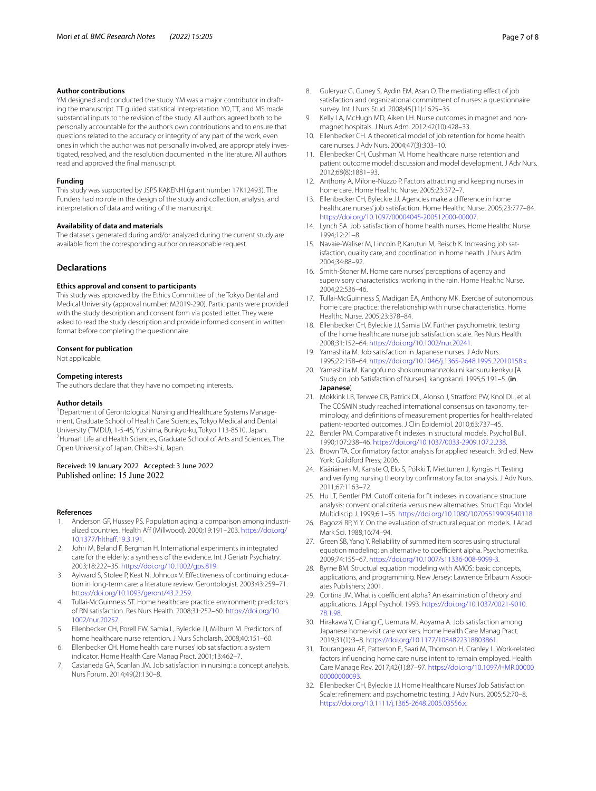#### **Author contributions**

YM designed and conducted the study. YM was a major contributor in drafting the manuscript. TT guided statistical interpretation. YO, TT, and MS made substantial inputs to the revision of the study. All authors agreed both to be personally accountable for the author's own contributions and to ensure that questions related to the accuracy or integrity of any part of the work, even ones in which the author was not personally involved, are appropriately investigated, resolved, and the resolution documented in the literature. All authors read and approved the fnal manuscript.

#### **Funding**

This study was supported by JSPS KAKENHI (grant number 17K12493). The Funders had no role in the design of the study and collection, analysis, and interpretation of data and writing of the manuscript.

#### **Availability of data and materials**

The datasets generated during and/or analyzed during the current study are available from the corresponding author on reasonable request.

## **Declarations**

#### **Ethics approval and consent to participants**

This study was approved by the Ethics Committee of the Tokyo Dental and Medical University (approval number: M2019-290). Participants were provided with the study description and consent form via posted letter. They were asked to read the study description and provide informed consent in written format before completing the questionnaire.

#### **Consent for publication**

Not applicable.

#### **Competing interests**

The authors declare that they have no competing interests.

#### **Author details**

<sup>1</sup> Department of Gerontological Nursing and Healthcare Systems Management, Graduate School of Health Care Sciences, Tokyo Medical and Dental University (TMDU), 1-5-45, Yushima, Bunkyo-ku, Tokyo 113-8510, Japan. 2 <sup>2</sup>Human Life and Health Sciences, Graduate School of Arts and Sciences, The Open University of Japan, Chiba-shi, Japan.

# Received: 19 January 2022 Accepted: 3 June 2022<br>Published online: 15 June 2022

#### **References**

- <span id="page-6-0"></span>Anderson GF, Hussey PS. Population aging: a comparison among industrialized countries. Health Aff (Millwood). 2000;19:191-203. [https://doi.org/](https://doi.org/10.1377/hlthaff.19.3.191) 10.1377/hlthaff.19.3.191.
- <span id="page-6-1"></span>2. Johri M, Beland F, Bergman H. International experiments in integrated care for the elderly: a synthesis of the evidence. Int J Geriatr Psychiatry. 2003;18:222–35.<https://doi.org/10.1002/gps.819>.
- <span id="page-6-2"></span>3. Aylward S, Stolee P, Keat N, Johncox V. Efectiveness of continuing education in long-term care: a literature review. Gerontologist. 2003;43:259–71. [https://doi.org/10.1093/geront/43.2.259.](https://doi.org/10.1093/geront/43.2.259)
- <span id="page-6-3"></span>4. Tullai-McGuinness ST. Home healthcare practice environment: predictors of RN satisfaction. Res Nurs Health. 2008;31:252–60. [https://doi.org/10.](https://doi.org/10.1002/nur.20257) [1002/nur.20257](https://doi.org/10.1002/nur.20257).
- 5. Ellenbecker CH, Porell FW, Samia L, Byleckie JJ, Milburn M. Predictors of home healthcare nurse retention. J Nurs Scholarsh. 2008;40:151–60.
- <span id="page-6-4"></span>6. Ellenbecker CH. Home health care nurses' job satisfaction: a system indicator. Home Health Care Manag Pract. 2001;13:462–7.
- <span id="page-6-5"></span>7. Castaneda GA, Scanlan JM. Job satisfaction in nursing: a concept analysis. Nurs Forum. 2014;49(2):130–8.
- <span id="page-6-6"></span>8. Guleryuz G, Guney S, Aydin EM, Asan O. The mediating efect of job satisfaction and organizational commitment of nurses: a questionnaire survey. Int J Nurs Stud. 2008;45(11):1625–35.
- <span id="page-6-7"></span>9. Kelly LA, McHugh MD, Aiken LH. Nurse outcomes in magnet and nonmagnet hospitals. J Nurs Adm. 2012;42(10):428–33.
- <span id="page-6-8"></span>10. Ellenbecker CH. A theoretical model of job retention for home health care nurses. J Adv Nurs. 2004;47(3):303–10.
- <span id="page-6-9"></span>11. Ellenbecker CH, Cushman M. Home healthcare nurse retention and patient outcome model: discussion and model development. J Adv Nurs. 2012;68(8):1881–93.
- <span id="page-6-10"></span>12. Anthony A, Milone-Nuzzo P. Factors attracting and keeping nurses in home care. Home Healthc Nurse. 2005;23:372–7.
- 13. Ellenbecker CH, Byleckie JJ. Agencies make a diference in home healthcare nurses' job satisfaction. Home Healthc Nurse. 2005;23:777–84. [https://doi.org/10.1097/00004045-200512000-00007.](https://doi.org/10.1097/00004045-200512000-00007)
- 14. Lynch SA. Job satisfaction of home health nurses. Home Healthc Nurse. 1994;12:21–8.
- 15. Navaie-Waliser M, Lincoln P, Karuturi M, Reisch K. Increasing job satisfaction, quality care, and coordination in home health. J Nurs Adm. 2004;34:88–92.
- 16. Smith-Stoner M. Home care nurses' perceptions of agency and supervisory characteristics: working in the rain. Home Healthc Nurse. 2004;22:536–46.
- <span id="page-6-11"></span>17. Tullai-McGuinness S, Madigan EA, Anthony MK. Exercise of autonomous home care practice: the relationship with nurse characteristics. Home Healthc Nurse. 2005;23:378–84.
- <span id="page-6-12"></span>18. Ellenbecker CH, Byleckie JJ, Samia LW. Further psychometric testing of the home healthcare nurse job satisfaction scale. Res Nurs Health. 2008;31:152–64. [https://doi.org/10.1002/nur.20241.](https://doi.org/10.1002/nur.20241)
- <span id="page-6-13"></span>19. Yamashita M. Job satisfaction in Japanese nurses. J Adv Nurs. 1995;22:158–64. [https://doi.org/10.1046/j.1365-2648.1995.22010158.x.](https://doi.org/10.1046/j.1365-2648.1995.22010158.x)
- <span id="page-6-14"></span>20. Yamashita M. Kangofu no shokumumannzoku ni kansuru kenkyu [A Study on Job Satisfaction of Nurses], kangokanri. 1995;5:191–5. (**in Japanese**)
- <span id="page-6-15"></span>21. Mokkink LB, Terwee CB, Patrick DL, Alonso J, Stratford PW, Knol DL, et al. The COSMIN study reached international consensus on taxonomy, terminology, and defnitions of measurement properties for health-related patient-reported outcomes. J Clin Epidemiol. 2010;63:737–45.
- <span id="page-6-16"></span>22. Bentler PM. Comparative ft indexes in structural models. Psychol Bull. 1990;107:238–46. [https://doi.org/10.1037/0033-2909.107.2.238.](https://doi.org/10.1037/0033-2909.107.2.238)
- 23. Brown TA. Confrmatory factor analysis for applied research. 3rd ed. New York: Guildford Press; 2006.
- <span id="page-6-17"></span>24. Kääriäinen M, Kanste O, Elo S, Pölkki T, Miettunen J, Kyngäs H. Testing and verifying nursing theory by confrmatory factor analysis. J Adv Nurs. 2011;67:1163–72.
- <span id="page-6-18"></span>25. Hu LT, Bentler PM. Cutoff criteria for fit indexes in covariance structure analysis: conventional criteria versus new alternatives. Struct Equ Model Multidiscip J. 1999;6:1–55.<https://doi.org/10.1080/10705519909540118>.
- <span id="page-6-19"></span>26. Bagozzi RP, Yi Y. On the evaluation of structural equation models. J Acad Mark Sci. 1988;16:74–94.
- <span id="page-6-20"></span>27. Green SB, Yang Y. Reliability of summed item scores using structural equation modeling: an alternative to coefficient alpha. Psychometrika. 2009;74:155–67.<https://doi.org/10.1007/s11336-008-9099-3>.
- <span id="page-6-21"></span>28. Byrne BM. Structual equation modeling with AMOS: basic concepts, applications, and programming. New Jersey: Lawrence Erlbaum Associates Publishers; 2001.
- <span id="page-6-22"></span>29. Cortina JM. What is coefficient alpha? An examination of theory and applications. J Appl Psychol. 1993. [https://doi.org/10.1037/0021-9010.](https://doi.org/10.1037/0021-9010.78.1.98) [78.1.98.](https://doi.org/10.1037/0021-9010.78.1.98)
- <span id="page-6-23"></span>30. Hirakawa Y, Chiang C, Uemura M, Aoyama A. Job satisfaction among Japanese home-visit care workers. Home Health Care Manag Pract. 2019;31(1):3–8. <https://doi.org/10.1177/1084822318803861>.
- <span id="page-6-24"></span>31. Tourangeau AE, Patterson E, Saari M, Thomson H, Cranley L. Work-related factors infuencing home care nurse intent to remain employed. Health Care Manage Rev. 2017;42(1):87–97. [https://doi.org/10.1097/HMR.00000](https://doi.org/10.1097/HMR.0000000000000093) [00000000093.](https://doi.org/10.1097/HMR.0000000000000093)
- <span id="page-6-25"></span>32. Ellenbecker CH, Byleckie JJ. Home Healthcare Nurses' Job Satisfaction Scale: refnement and psychometric testing. J Adv Nurs. 2005;52:70–8. [https://doi.org/10.1111/j.1365-2648.2005.03556.x.](https://doi.org/10.1111/j.1365-2648.2005.03556.x)